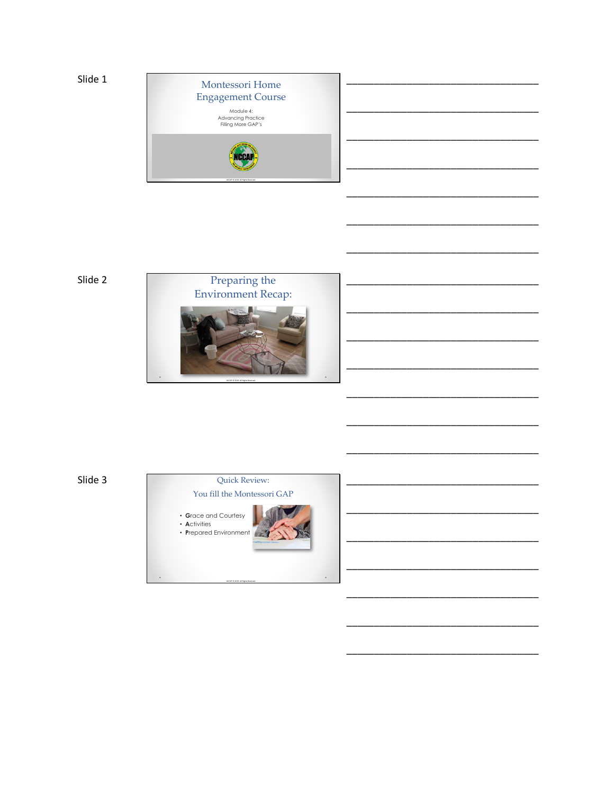

Slide 2



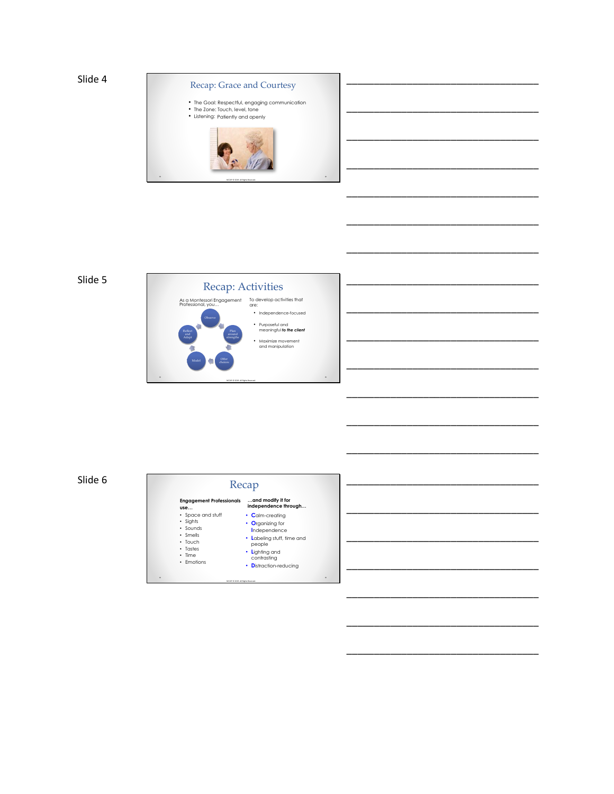

\_\_\_\_\_\_\_\_\_\_\_\_\_\_\_\_\_\_\_\_\_\_\_\_\_\_\_\_\_\_\_\_\_\_\_

\_\_\_\_\_\_\_\_\_\_\_\_\_\_\_\_\_\_\_\_\_\_\_\_\_\_\_\_\_\_\_\_\_\_\_

\_\_\_\_\_\_\_\_\_\_\_\_\_\_\_\_\_\_\_\_\_\_\_\_\_\_\_\_\_\_\_\_\_\_\_

\_\_\_\_\_\_\_\_\_\_\_\_\_\_\_\_\_\_\_\_\_\_\_\_\_\_\_\_\_\_\_\_\_\_\_

\_\_\_\_\_\_\_\_\_\_\_\_\_\_\_\_\_\_\_\_\_\_\_\_\_\_\_\_\_\_\_\_\_\_\_

\_\_\_\_\_\_\_\_\_\_\_\_\_\_\_\_\_\_\_\_\_\_\_\_\_\_\_\_\_\_\_\_\_\_\_

\_\_\_\_\_\_\_\_\_\_\_\_\_\_\_\_\_\_\_\_\_\_\_\_\_\_\_\_\_\_\_\_\_\_\_

\_\_\_\_\_\_\_\_\_\_\_\_\_\_\_\_\_\_\_\_\_\_\_\_\_\_\_\_\_\_\_\_\_\_\_

\_\_\_\_\_\_\_\_\_\_\_\_\_\_\_\_\_\_\_\_\_\_\_\_\_\_\_\_\_\_\_\_\_\_\_

\_\_\_\_\_\_\_\_\_\_\_\_\_\_\_\_\_\_\_\_\_\_\_\_\_\_\_\_\_\_\_\_\_\_\_

\_\_\_\_\_\_\_\_\_\_\_\_\_\_\_\_\_\_\_\_\_\_\_\_\_\_\_\_\_\_\_\_\_\_\_

\_\_\_\_\_\_\_\_\_\_\_\_\_\_\_\_\_\_\_\_\_\_\_\_\_\_\_\_\_\_\_\_\_\_\_

\_\_\_\_\_\_\_\_\_\_\_\_\_\_\_\_\_\_\_\_\_\_\_\_\_\_\_\_\_\_\_\_\_\_\_

\_\_\_\_\_\_\_\_\_\_\_\_\_\_\_\_\_\_\_\_\_\_\_\_\_\_\_\_\_\_\_\_\_\_\_

\_\_\_\_\_\_\_\_\_\_\_\_\_\_\_\_\_\_\_\_\_\_\_\_\_\_\_\_\_\_\_\_\_\_\_

\_\_\_\_\_\_\_\_\_\_\_\_\_\_\_\_\_\_\_\_\_\_\_\_\_\_\_\_\_\_\_\_\_\_\_

### Slide 5



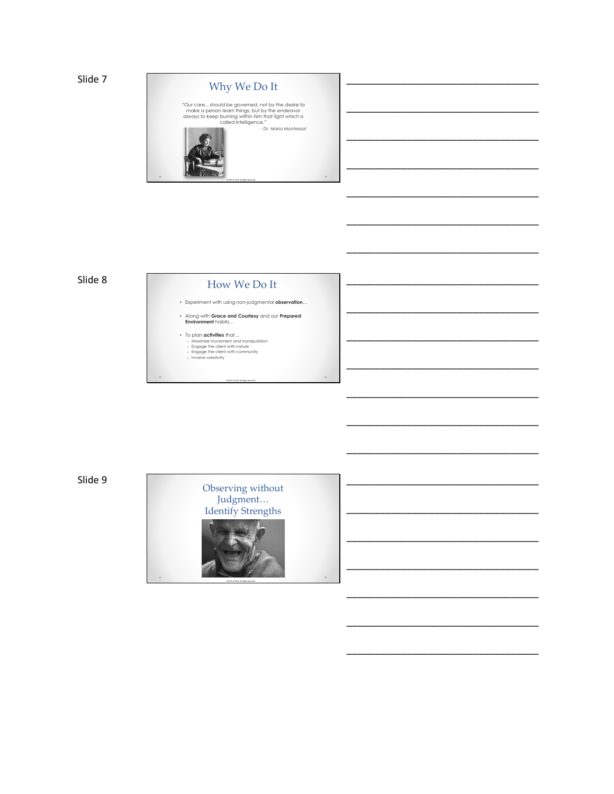```
Slide 7
```


\_\_\_\_\_\_\_\_\_\_\_\_\_\_\_\_\_\_\_\_\_\_\_\_\_\_\_\_\_\_\_\_\_\_\_

\_\_\_\_\_\_\_\_\_\_\_\_\_\_\_\_\_\_\_\_\_\_\_\_\_\_\_\_\_\_\_\_\_\_\_

\_\_\_\_\_\_\_\_\_\_\_\_\_\_\_\_\_\_\_\_\_\_\_\_\_\_\_\_\_\_\_\_\_\_\_

\_\_\_\_\_\_\_\_\_\_\_\_\_\_\_\_\_\_\_\_\_\_\_\_\_\_\_\_\_\_\_\_\_\_\_

\_\_\_\_\_\_\_\_\_\_\_\_\_\_\_\_\_\_\_\_\_\_\_\_\_\_\_\_\_\_\_\_\_\_\_

\_\_\_\_\_\_\_\_\_\_\_\_\_\_\_\_\_\_\_\_\_\_\_\_\_\_\_\_\_\_\_\_\_\_\_

\_\_\_\_\_\_\_\_\_\_\_\_\_\_\_\_\_\_\_\_\_\_\_\_\_\_\_\_\_\_\_\_\_\_\_

\_\_\_\_\_\_\_\_\_\_\_\_\_\_\_\_\_\_\_\_\_\_\_\_\_\_\_\_\_\_\_\_\_\_\_

\_\_\_\_\_\_\_\_\_\_\_\_\_\_\_\_\_\_\_\_\_\_\_\_\_\_\_\_\_\_\_\_\_\_\_

\_\_\_\_\_\_\_\_\_\_\_\_\_\_\_\_\_\_\_\_\_\_\_\_\_\_\_\_\_\_\_\_\_\_\_

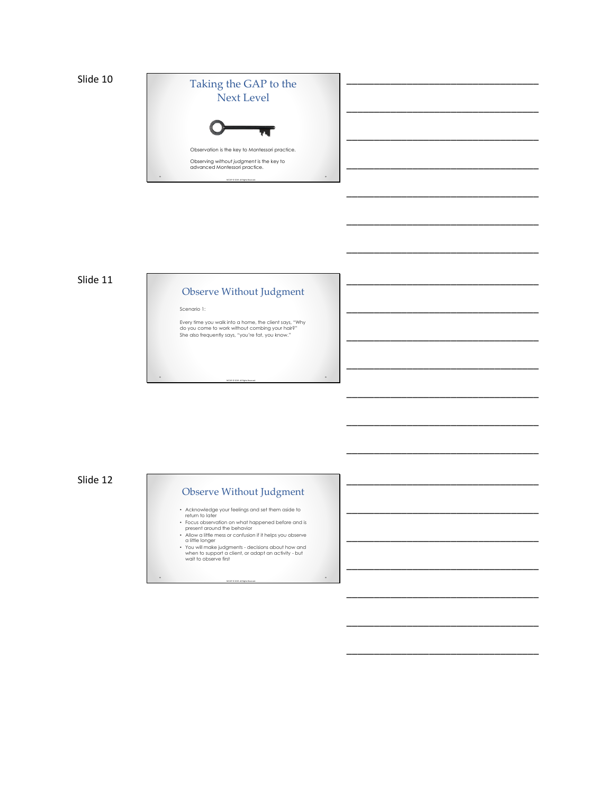

\_\_\_\_\_\_\_\_\_\_\_\_\_\_\_\_\_\_\_\_\_\_\_\_\_\_\_\_\_\_\_\_\_\_\_

\_\_\_\_\_\_\_\_\_\_\_\_\_\_\_\_\_\_\_\_\_\_\_\_\_\_\_\_\_\_\_\_\_\_\_

\_\_\_\_\_\_\_\_\_\_\_\_\_\_\_\_\_\_\_\_\_\_\_\_\_\_\_\_\_\_\_\_\_\_\_

\_\_\_\_\_\_\_\_\_\_\_\_\_\_\_\_\_\_\_\_\_\_\_\_\_\_\_\_\_\_\_\_\_\_\_

\_\_\_\_\_\_\_\_\_\_\_\_\_\_\_\_\_\_\_\_\_\_\_\_\_\_\_\_\_\_\_\_\_\_\_

\_\_\_\_\_\_\_\_\_\_\_\_\_\_\_\_\_\_\_\_\_\_\_\_\_\_\_\_\_\_\_\_\_\_\_

\_\_\_\_\_\_\_\_\_\_\_\_\_\_\_\_\_\_\_\_\_\_\_\_\_\_\_\_\_\_\_\_\_\_\_

\_\_\_\_\_\_\_\_\_\_\_\_\_\_\_\_\_\_\_\_\_\_\_\_\_\_\_\_\_\_\_\_\_\_\_

\_\_\_\_\_\_\_\_\_\_\_\_\_\_\_\_\_\_\_\_\_\_\_\_\_\_\_\_\_\_\_\_\_\_\_

\_\_\_\_\_\_\_\_\_\_\_\_\_\_\_\_\_\_\_\_\_\_\_\_\_\_\_\_\_\_\_\_\_\_\_

\_\_\_\_\_\_\_\_\_\_\_\_\_\_\_\_\_\_\_\_\_\_\_\_\_\_\_\_\_\_\_\_\_\_\_

\_\_\_\_\_\_\_\_\_\_\_\_\_\_\_\_\_\_\_\_\_\_\_\_\_\_\_\_\_\_\_\_\_\_\_

\_\_\_\_\_\_\_\_\_\_\_\_\_\_\_\_\_\_\_\_\_\_\_\_\_\_\_\_\_\_\_\_\_\_\_

\_\_\_\_\_\_\_\_\_\_\_\_\_\_\_\_\_\_\_\_\_\_\_\_\_\_\_\_\_\_\_\_\_\_\_

\_\_\_\_\_\_\_\_\_\_\_\_\_\_\_\_\_\_\_\_\_\_\_\_\_\_\_\_\_\_\_\_\_\_\_

\_\_\_\_\_\_\_\_\_\_\_\_\_\_\_\_\_\_\_\_\_\_\_\_\_\_\_\_\_\_\_\_\_\_\_

\_\_\_\_\_\_\_\_\_\_\_\_\_\_\_\_\_\_\_\_\_\_\_\_\_\_\_\_\_\_\_\_\_\_\_

### Slide 11

### Observe Without Judgment

Scenario 1:

Every time you walk into a home, the client says, "Why do you come to work without combing your hair?" She also frequently says, "you're fat, you know."

NCCAP © 2019. All Rights Reserved.

 $\circ$ 

 $\ddot{\phantom{0}}$ 

Slide 12

### Observe Without Judgment

- 
- 
- 
- Acknowledge your feelings and set them aside to<br>return to later<br>• Focus observation on what happened before and is<br>• Focus observation on what happened before and is<br>• Allow a little mess or confusion if it helps you obs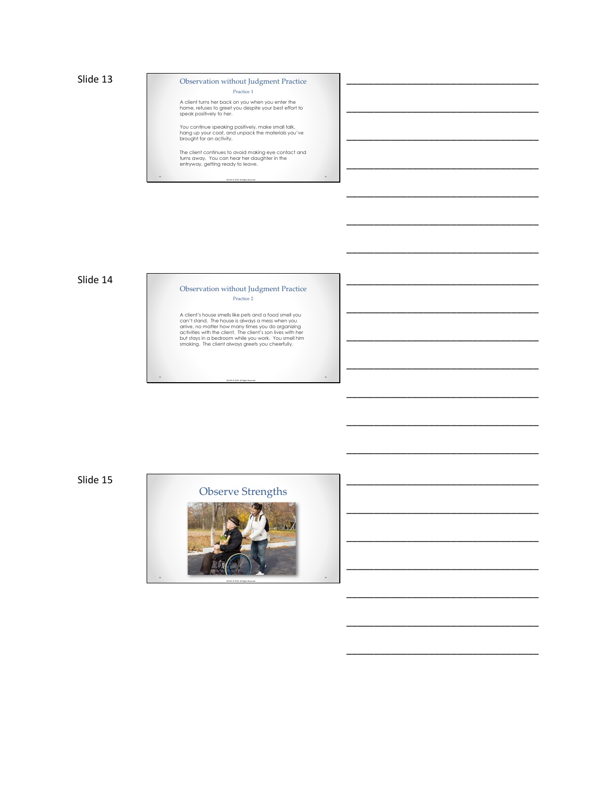Observation without Judgment Practice Practice 1

\_\_\_\_\_\_\_\_\_\_\_\_\_\_\_\_\_\_\_\_\_\_\_\_\_\_\_\_\_\_\_\_\_\_\_

\_\_\_\_\_\_\_\_\_\_\_\_\_\_\_\_\_\_\_\_\_\_\_\_\_\_\_\_\_\_\_\_\_\_\_

\_\_\_\_\_\_\_\_\_\_\_\_\_\_\_\_\_\_\_\_\_\_\_\_\_\_\_\_\_\_\_\_\_\_\_

\_\_\_\_\_\_\_\_\_\_\_\_\_\_\_\_\_\_\_\_\_\_\_\_\_\_\_\_\_\_\_\_\_\_\_

\_\_\_\_\_\_\_\_\_\_\_\_\_\_\_\_\_\_\_\_\_\_\_\_\_\_\_\_\_\_\_\_\_\_\_

\_\_\_\_\_\_\_\_\_\_\_\_\_\_\_\_\_\_\_\_\_\_\_\_\_\_\_\_\_\_\_\_\_\_\_

\_\_\_\_\_\_\_\_\_\_\_\_\_\_\_\_\_\_\_\_\_\_\_\_\_\_\_\_\_\_\_\_\_\_\_

\_\_\_\_\_\_\_\_\_\_\_\_\_\_\_\_\_\_\_\_\_\_\_\_\_\_\_\_\_\_\_\_\_\_\_

\_\_\_\_\_\_\_\_\_\_\_\_\_\_\_\_\_\_\_\_\_\_\_\_\_\_\_\_\_\_\_\_\_\_\_

\_\_\_\_\_\_\_\_\_\_\_\_\_\_\_\_\_\_\_\_\_\_\_\_\_\_\_\_\_\_\_\_\_\_\_

\_\_\_\_\_\_\_\_\_\_\_\_\_\_\_\_\_\_\_\_\_\_\_\_\_\_\_\_\_\_\_\_\_\_\_

\_\_\_\_\_\_\_\_\_\_\_\_\_\_\_\_\_\_\_\_\_\_\_\_\_\_\_\_\_\_\_\_\_\_\_

\_\_\_\_\_\_\_\_\_\_\_\_\_\_\_\_\_\_\_\_\_\_\_\_\_\_\_\_\_\_\_\_\_\_\_

\_\_\_\_\_\_\_\_\_\_\_\_\_\_\_\_\_\_\_\_\_\_\_\_\_\_\_\_\_\_\_\_\_\_\_

\_\_\_\_\_\_\_\_\_\_\_\_\_\_\_\_\_\_\_\_\_\_\_\_\_\_\_\_\_\_\_\_\_\_\_

\_\_\_\_\_\_\_\_\_\_\_\_\_\_\_\_\_\_\_\_\_\_\_\_\_\_\_\_\_\_\_\_\_\_\_

\_\_\_\_\_\_\_\_\_\_\_\_\_\_\_\_\_\_\_\_\_\_\_\_\_\_\_\_\_\_\_\_\_\_\_

\_\_\_\_\_\_\_\_\_\_\_\_\_\_\_\_\_\_\_\_\_\_\_\_\_\_\_\_\_\_\_\_\_\_\_

\_\_\_\_\_\_\_\_\_\_\_\_\_\_\_\_\_\_\_\_\_\_\_\_\_\_\_\_\_\_\_\_\_\_\_

\_\_\_\_\_\_\_\_\_\_\_\_\_\_\_\_\_\_\_\_\_\_\_\_\_\_\_\_\_\_\_\_\_\_\_

\_\_\_\_\_\_\_\_\_\_\_\_\_\_\_\_\_\_\_\_\_\_\_\_\_\_\_\_\_\_\_\_\_\_\_

A client turns her back on you when you enter the home, refuses to greet you despite your best effort to speak positively to her.

You continue speaking positively, make small talk, hang up your coat, and unpack the materials you've brought for an activity.

The client continues to avoid making eye contact and<br>turns away. You can hear her daughter in the<br>entryway, getting ready to leave.

NCCAP © 2019. All Rights Reserved.

 $\ddot{\phantom{0}}$ 

 $\ddot{\phantom{1}}$ 

### Slide 14

#### Observation without Judgment Practice Practice 2

A client's house smells like pets and a food smell you<br>can't stand. The house is always a mess when you<br>arrive, no matter how many times you do organizing<br>activities with the client. The client's son lives with her<br>but sta

NCCAP © 2019. All Rights Reserved.

Slide 15

Observe Strengths

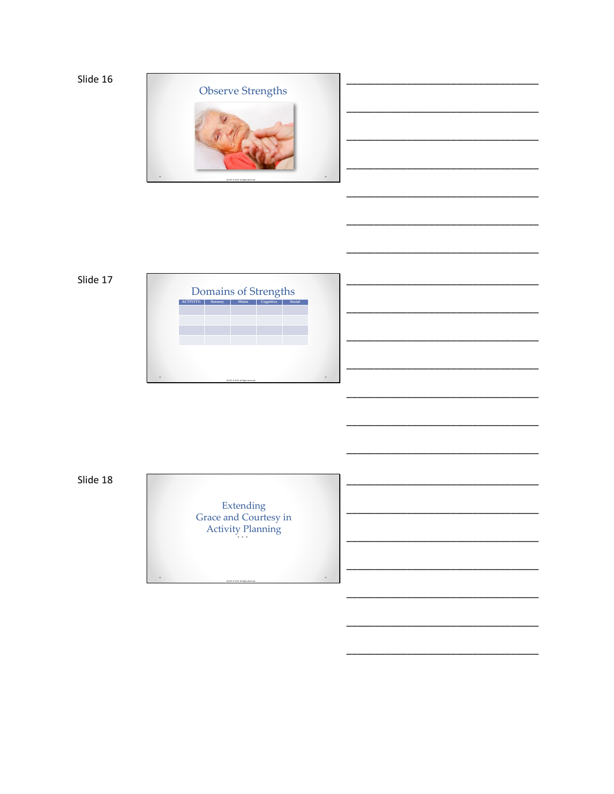

### Slide 17



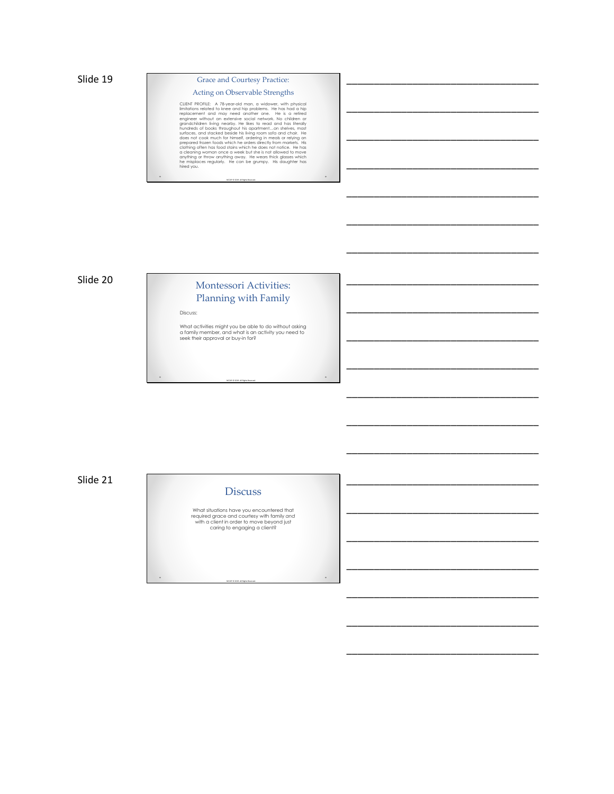### Grace and Courtesy Practice: Acting on Observable Strengths

\_\_\_\_\_\_\_\_\_\_\_\_\_\_\_\_\_\_\_\_\_\_\_\_\_\_\_\_\_\_\_\_\_\_\_

\_\_\_\_\_\_\_\_\_\_\_\_\_\_\_\_\_\_\_\_\_\_\_\_\_\_\_\_\_\_\_\_\_\_\_

\_\_\_\_\_\_\_\_\_\_\_\_\_\_\_\_\_\_\_\_\_\_\_\_\_\_\_\_\_\_\_\_\_\_\_

\_\_\_\_\_\_\_\_\_\_\_\_\_\_\_\_\_\_\_\_\_\_\_\_\_\_\_\_\_\_\_\_\_\_\_

\_\_\_\_\_\_\_\_\_\_\_\_\_\_\_\_\_\_\_\_\_\_\_\_\_\_\_\_\_\_\_\_\_\_\_

\_\_\_\_\_\_\_\_\_\_\_\_\_\_\_\_\_\_\_\_\_\_\_\_\_\_\_\_\_\_\_\_\_\_\_

\_\_\_\_\_\_\_\_\_\_\_\_\_\_\_\_\_\_\_\_\_\_\_\_\_\_\_\_\_\_\_\_\_\_\_

\_\_\_\_\_\_\_\_\_\_\_\_\_\_\_\_\_\_\_\_\_\_\_\_\_\_\_\_\_\_\_\_\_\_\_

\_\_\_\_\_\_\_\_\_\_\_\_\_\_\_\_\_\_\_\_\_\_\_\_\_\_\_\_\_\_\_\_\_\_\_

\_\_\_\_\_\_\_\_\_\_\_\_\_\_\_\_\_\_\_\_\_\_\_\_\_\_\_\_\_\_\_\_\_\_\_

\_\_\_\_\_\_\_\_\_\_\_\_\_\_\_\_\_\_\_\_\_\_\_\_\_\_\_\_\_\_\_\_\_\_\_

\_\_\_\_\_\_\_\_\_\_\_\_\_\_\_\_\_\_\_\_\_\_\_\_\_\_\_\_\_\_\_\_\_\_\_

\_\_\_\_\_\_\_\_\_\_\_\_\_\_\_\_\_\_\_\_\_\_\_\_\_\_\_\_\_\_\_\_\_\_\_

\_\_\_\_\_\_\_\_\_\_\_\_\_\_\_\_\_\_\_\_\_\_\_\_\_\_\_\_\_\_\_\_\_\_\_

\_\_\_\_\_\_\_\_\_\_\_\_\_\_\_\_\_\_\_\_\_\_\_\_\_\_\_\_\_\_\_\_\_\_\_

\_\_\_\_\_\_\_\_\_\_\_\_\_\_\_\_\_\_\_\_\_\_\_\_\_\_\_\_\_\_\_\_\_\_\_

\_\_\_\_\_\_\_\_\_\_\_\_\_\_\_\_\_\_\_\_\_\_\_\_\_\_\_\_\_\_\_\_\_\_\_

\_\_\_\_\_\_\_\_\_\_\_\_\_\_\_\_\_\_\_\_\_\_\_\_\_\_\_\_\_\_\_\_\_\_\_

\_\_\_\_\_\_\_\_\_\_\_\_\_\_\_\_\_\_\_\_\_\_\_\_\_\_\_\_\_\_\_\_\_\_\_

\_\_\_\_\_\_\_\_\_\_\_\_\_\_\_\_\_\_\_\_\_\_\_\_\_\_\_\_\_\_\_\_\_\_\_

\_\_\_\_\_\_\_\_\_\_\_\_\_\_\_\_\_\_\_\_\_\_\_\_\_\_\_\_\_\_\_\_\_\_\_

CURN PROFILE: A 78-year-old man, a widower, with physical time<br>ilmitations related to knee and hip problems. He has had a hip<br>engincement and may need another one. He is a retired<br>engineer without an extensive social netwo

NCCAP © 2019. All Rights Reserved.

 $\ddot{\phantom{0}}$ 

 $\circ$ 

 $\ddot{\phantom{0}}$ 

### Slide 20

# Montessori Activities: Planning with Family

Discuss:

What activities might you be able to do without asking<br>a family member, and what is an activity you need to<br>seek their approval or buy-in for?

NCCAP © 2019. All Rights Reserved.

Slide 21

### **Discuss**

What situations have you encountered that<br>required grace and courtesy with family *and*<br>with a client in order to move beyond just<br>caring to engaging a client?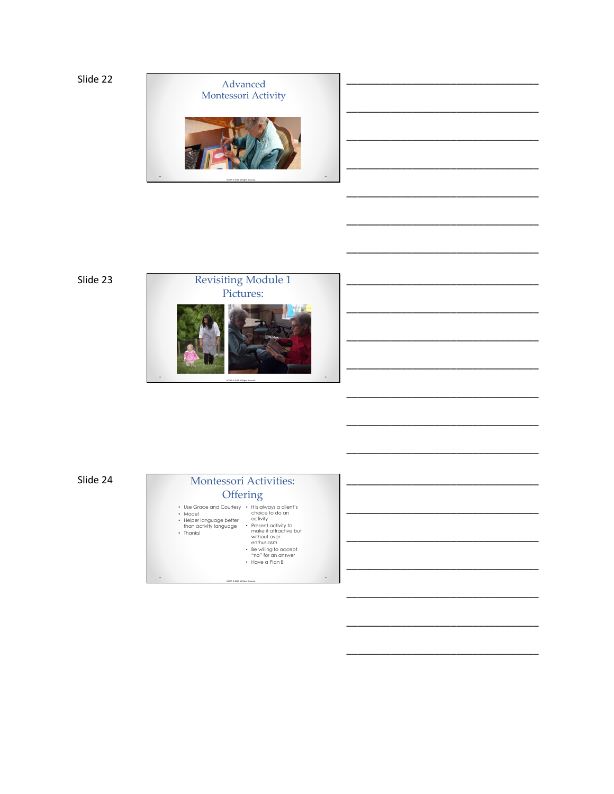

\_\_\_\_\_\_\_\_\_\_\_\_\_\_\_\_\_\_\_\_\_\_\_\_\_\_\_\_\_\_\_\_\_\_\_

\_\_\_\_\_\_\_\_\_\_\_\_\_\_\_\_\_\_\_\_\_\_\_\_\_\_\_\_\_\_\_\_\_\_\_

\_\_\_\_\_\_\_\_\_\_\_\_\_\_\_\_\_\_\_\_\_\_\_\_\_\_\_\_\_\_\_\_\_\_\_

\_\_\_\_\_\_\_\_\_\_\_\_\_\_\_\_\_\_\_\_\_\_\_\_\_\_\_\_\_\_\_\_\_\_\_

\_\_\_\_\_\_\_\_\_\_\_\_\_\_\_\_\_\_\_\_\_\_\_\_\_\_\_\_\_\_\_\_\_\_\_

\_\_\_\_\_\_\_\_\_\_\_\_\_\_\_\_\_\_\_\_\_\_\_\_\_\_\_\_\_\_\_\_\_\_\_

\_\_\_\_\_\_\_\_\_\_\_\_\_\_\_\_\_\_\_\_\_\_\_\_\_\_\_\_\_\_\_\_\_\_\_

\_\_\_\_\_\_\_\_\_\_\_\_\_\_\_\_\_\_\_\_\_\_\_\_\_\_\_\_\_\_\_\_\_\_\_

\_\_\_\_\_\_\_\_\_\_\_\_\_\_\_\_\_\_\_\_\_\_\_\_\_\_\_\_\_\_\_\_\_\_\_

\_\_\_\_\_\_\_\_\_\_\_\_\_\_\_\_\_\_\_\_\_\_\_\_\_\_\_\_\_\_\_\_\_\_\_

\_\_\_\_\_\_\_\_\_\_\_\_\_\_\_\_\_\_\_\_\_\_\_\_\_\_\_\_\_\_\_\_\_\_\_

\_\_\_\_\_\_\_\_\_\_\_\_\_\_\_\_\_\_\_\_\_\_\_\_\_\_\_\_\_\_\_\_\_\_\_

\_\_\_\_\_\_\_\_\_\_\_\_\_\_\_\_\_\_\_\_\_\_\_\_\_\_\_\_\_\_\_\_\_\_\_

\_\_\_\_\_\_\_\_\_\_\_\_\_\_\_\_\_\_\_\_\_\_\_\_\_\_\_\_\_\_\_\_\_\_\_

\_\_\_\_\_\_\_\_\_\_\_\_\_\_\_\_\_\_\_\_\_\_\_\_\_\_\_\_\_\_\_\_\_\_\_

\_\_\_\_\_\_\_\_\_\_\_\_\_\_\_\_\_\_\_\_\_\_\_\_\_\_\_\_\_\_\_\_\_\_\_

Slide 23



Slide 24

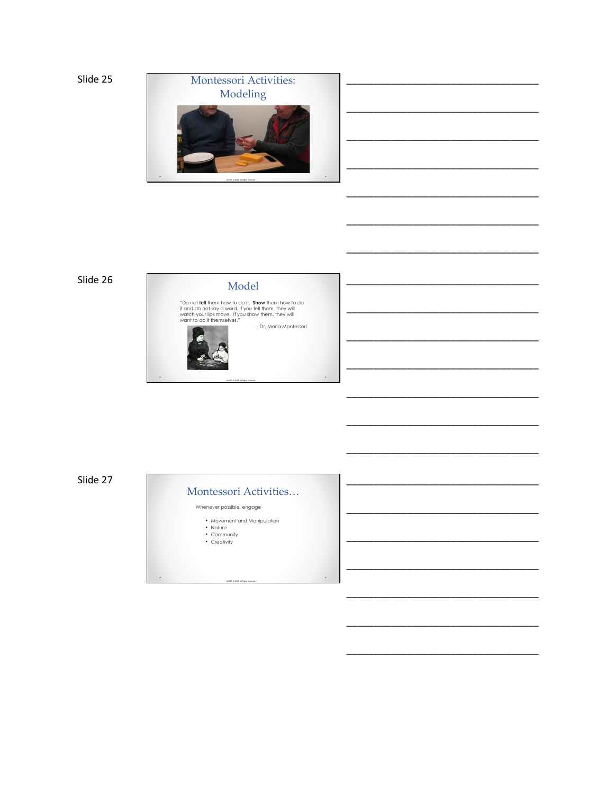

\_\_\_\_\_\_\_\_\_\_\_\_\_\_\_\_\_\_\_\_\_\_\_\_\_\_\_\_\_\_\_\_\_\_\_

\_\_\_\_\_\_\_\_\_\_\_\_\_\_\_\_\_\_\_\_\_\_\_\_\_\_\_\_\_\_\_\_\_\_\_

\_\_\_\_\_\_\_\_\_\_\_\_\_\_\_\_\_\_\_\_\_\_\_\_\_\_\_\_\_\_\_\_\_\_\_

\_\_\_\_\_\_\_\_\_\_\_\_\_\_\_\_\_\_\_\_\_\_\_\_\_\_\_\_\_\_\_\_\_\_\_

\_\_\_\_\_\_\_\_\_\_\_\_\_\_\_\_\_\_\_\_\_\_\_\_\_\_\_\_\_\_\_\_\_\_\_

\_\_\_\_\_\_\_\_\_\_\_\_\_\_\_\_\_\_\_\_\_\_\_\_\_\_\_\_\_\_\_\_\_\_\_

\_\_\_\_\_\_\_\_\_\_\_\_\_\_\_\_\_\_\_\_\_\_\_\_\_\_\_\_\_\_\_\_\_\_\_

\_\_\_\_\_\_\_\_\_\_\_\_\_\_\_\_\_\_\_\_\_\_\_\_\_\_\_\_\_\_\_\_\_\_\_

\_\_\_\_\_\_\_\_\_\_\_\_\_\_\_\_\_\_\_\_\_\_\_\_\_\_\_\_\_\_\_\_\_\_\_

\_\_\_\_\_\_\_\_\_\_\_\_\_\_\_\_\_\_\_\_\_\_\_\_\_\_\_\_\_\_\_\_\_\_\_

\_\_\_\_\_\_\_\_\_\_\_\_\_\_\_\_\_\_\_\_\_\_\_\_\_\_\_\_\_\_\_\_\_\_\_

\_\_\_\_\_\_\_\_\_\_\_\_\_\_\_\_\_\_\_\_\_\_\_\_\_\_\_\_\_\_\_\_\_\_\_

\_\_\_\_\_\_\_\_\_\_\_\_\_\_\_\_\_\_\_\_\_\_\_\_\_\_\_\_\_\_\_\_\_\_\_

\_\_\_\_\_\_\_\_\_\_\_\_\_\_\_\_\_\_\_\_\_\_\_\_\_\_\_\_\_\_\_\_\_\_\_

\_\_\_\_\_\_\_\_\_\_\_\_\_\_\_\_\_\_\_\_\_\_\_\_\_\_\_\_\_\_\_\_\_\_\_

\_\_\_\_\_\_\_\_\_\_\_\_\_\_\_\_\_\_\_\_\_\_\_\_\_\_\_\_\_\_\_\_\_\_\_

### Slide 26

### Model

 $\circ$ 

 $\overline{\phantom{a}}$ 

"Do not **tell** them how to do it. **Show** them how to do<br>it and do not say a word. If you tell them, they will<br>watch your lips move. If you show them, they will<br>want to do it themselves."



Slide 27

### Montessori Activities…

Whenever possible, engage

• Movement and Manipulation • Nature • Community • Creativity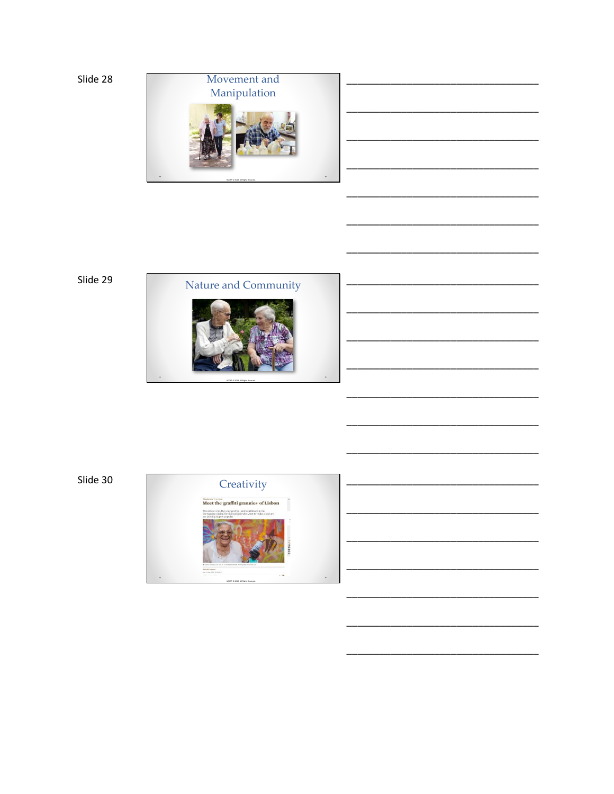

Slide 29



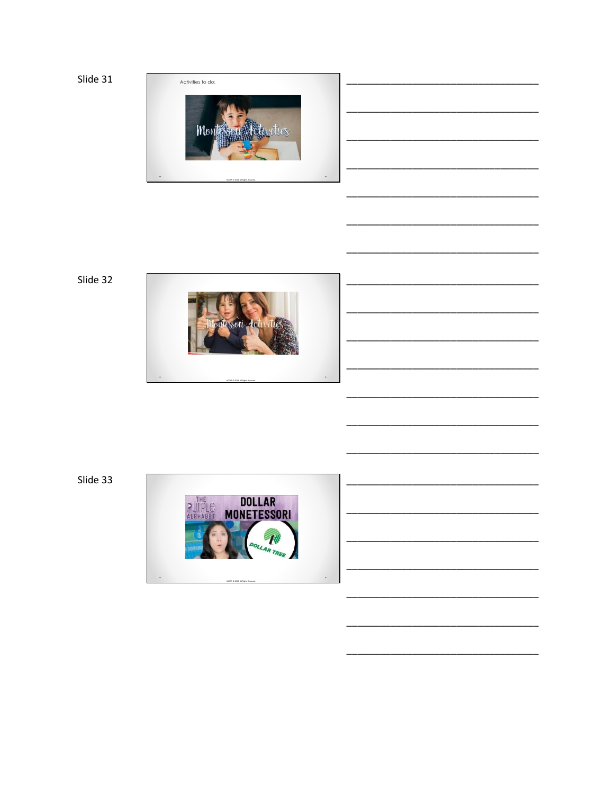

Slide 32



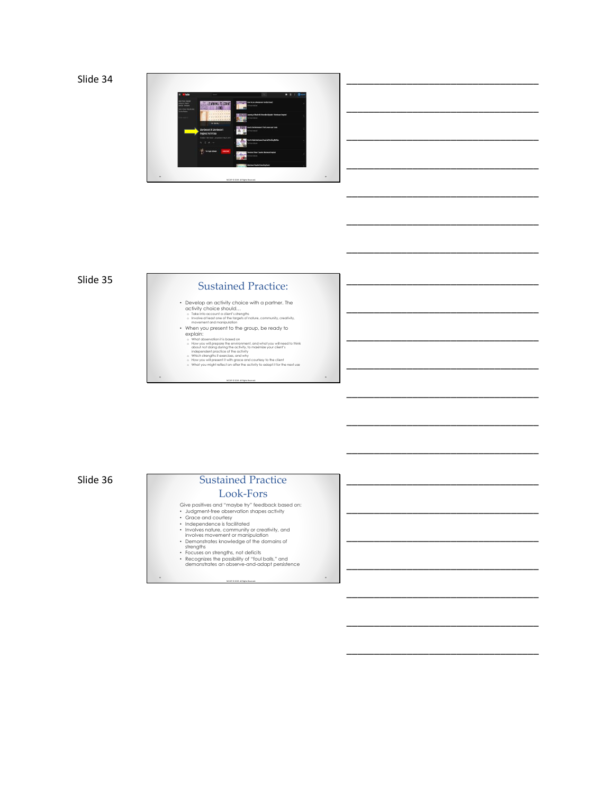Slide 34



### Sustained Practice:

\_\_\_\_\_\_\_\_\_\_\_\_\_\_\_\_\_\_\_\_\_\_\_\_\_\_\_\_\_\_\_\_\_\_\_

\_\_\_\_\_\_\_\_\_\_\_\_\_\_\_\_\_\_\_\_\_\_\_\_\_\_\_\_\_\_\_\_\_\_\_

\_\_\_\_\_\_\_\_\_\_\_\_\_\_\_\_\_\_\_\_\_\_\_\_\_\_\_\_\_\_\_\_\_\_\_

\_\_\_\_\_\_\_\_\_\_\_\_\_\_\_\_\_\_\_\_\_\_\_\_\_\_\_\_\_\_\_\_\_\_\_

\_\_\_\_\_\_\_\_\_\_\_\_\_\_\_\_\_\_\_\_\_\_\_\_\_\_\_\_\_\_\_\_\_\_\_

\_\_\_\_\_\_\_\_\_\_\_\_\_\_\_\_\_\_\_\_\_\_\_\_\_\_\_\_\_\_\_\_\_\_\_

\_\_\_\_\_\_\_\_\_\_\_\_\_\_\_\_\_\_\_\_\_\_\_\_\_\_\_\_\_\_\_\_\_\_\_

\_\_\_\_\_\_\_\_\_\_\_\_\_\_\_\_\_\_\_\_\_\_\_\_\_\_\_\_\_\_\_\_\_\_\_

\_\_\_\_\_\_\_\_\_\_\_\_\_\_\_\_\_\_\_\_\_\_\_\_\_\_\_\_\_\_\_\_\_\_\_

\_\_\_\_\_\_\_\_\_\_\_\_\_\_\_\_\_\_\_\_\_\_\_\_\_\_\_\_\_\_\_\_\_\_\_

\_\_\_\_\_\_\_\_\_\_\_\_\_\_\_\_\_\_\_\_\_\_\_\_\_\_\_\_\_\_\_\_\_\_\_

\_\_\_\_\_\_\_\_\_\_\_\_\_\_\_\_\_\_\_\_\_\_\_\_\_\_\_\_\_\_\_\_\_\_\_

\_\_\_\_\_\_\_\_\_\_\_\_\_\_\_\_\_\_\_\_\_\_\_\_\_\_\_\_\_\_\_\_\_\_\_

\_\_\_\_\_\_\_\_\_\_\_\_\_\_\_\_\_\_\_\_\_\_\_\_\_\_\_\_\_\_\_\_\_\_\_

\_\_\_\_\_\_\_\_\_\_\_\_\_\_\_\_\_\_\_\_\_\_\_\_\_\_\_\_\_\_\_\_\_\_\_

\_\_\_\_\_\_\_\_\_\_\_\_\_\_\_\_\_\_\_\_\_\_\_\_\_\_\_\_\_\_\_\_\_\_\_

- Develop an activity choice with a partner. The<br>activity choice should…<br>
 Take into account a client's strengths<br>
 Involve at least one of the targets of nature, community, creativity,<br>
movement and manipulation
- 
- 
- When you present to the group, be ready to<br>  $\alpha$  what observation is bost and the momentum of the state of the<br>  $\alpha$  state of the momentum of the momentum of the state of the state of the<br>  $\alpha$  state in the state of the
- 
- NCCAP © 2019. All Rights Reserved.

.

 $\ddot{\phantom{0}}$ 

Slide 36

## Sustained Practice Look-Fors

- 
- 
- 
- 
- 

Give positives and "maybe try" feedback based on:<br>• Judgment-free observation shapes activity<br>• Grace and courtesy<br>• Independence is facilitated<br>• Involves matrice, community or creativity, and<br>• Involves movement or manip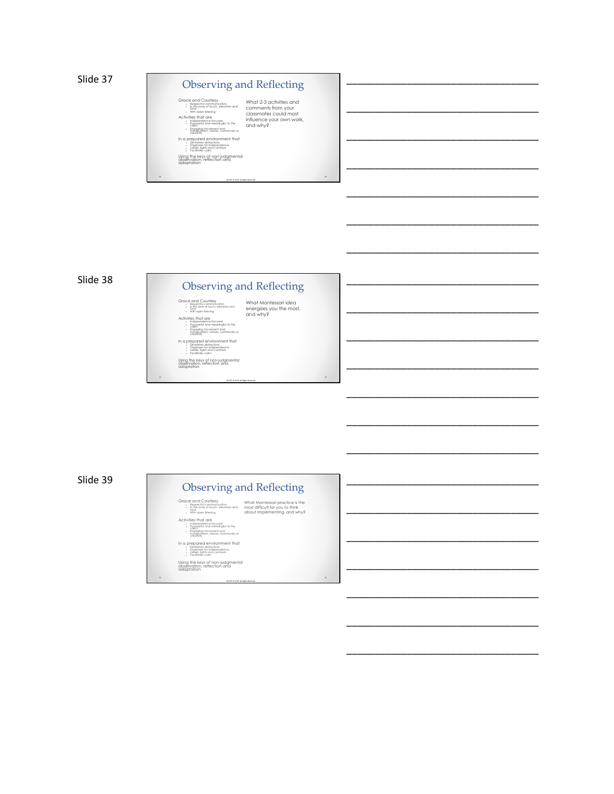

\_\_\_\_\_\_\_\_\_\_\_\_\_\_\_\_\_\_\_\_\_\_\_\_\_\_\_\_\_\_\_\_\_\_\_

\_\_\_\_\_\_\_\_\_\_\_\_\_\_\_\_\_\_\_\_\_\_\_\_\_\_\_\_\_\_\_\_\_\_\_

\_\_\_\_\_\_\_\_\_\_\_\_\_\_\_\_\_\_\_\_\_\_\_\_\_\_\_\_\_\_\_\_\_\_\_

\_\_\_\_\_\_\_\_\_\_\_\_\_\_\_\_\_\_\_\_\_\_\_\_\_\_\_\_\_\_\_\_\_\_\_

\_\_\_\_\_\_\_\_\_\_\_\_\_\_\_\_\_\_\_\_\_\_\_\_\_\_\_\_\_\_\_\_\_\_\_